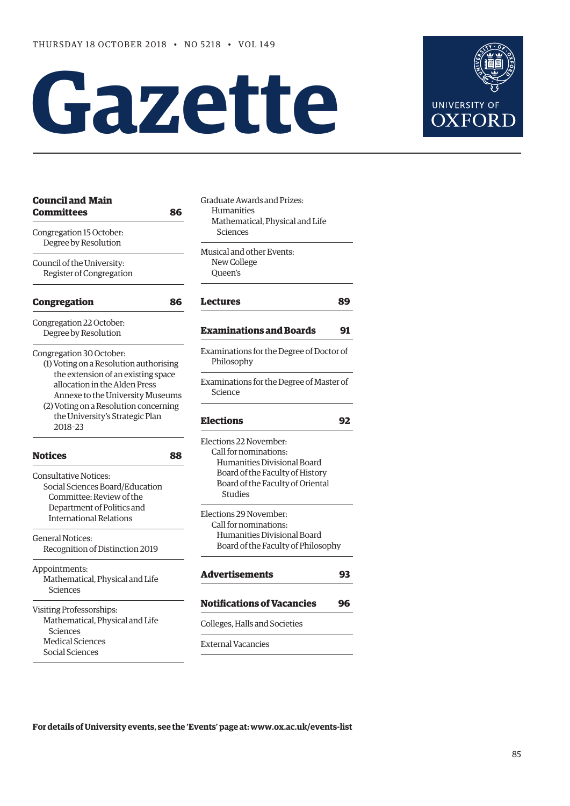# **Gazette**



| <b>Council and Main</b><br><b>Committees</b><br>86                                                      | Graduate Awards and Prizes:<br><b>Humanities</b><br>Mathematical, Physical and Life<br>Sciences |  |  |  |
|---------------------------------------------------------------------------------------------------------|-------------------------------------------------------------------------------------------------|--|--|--|
| Congregation 15 October:<br>Degree by Resolution                                                        |                                                                                                 |  |  |  |
| Council of the University:<br>Register of Congregation                                                  | Musical and other Events:<br>New College<br>Oueen's                                             |  |  |  |
| <b>Congregation</b><br>86                                                                               | <b>Lectures</b><br>89                                                                           |  |  |  |
| Congregation 22 October:<br>Degree by Resolution                                                        | <b>Examinations and Boards</b><br>91                                                            |  |  |  |
| Congregation 30 October:<br>(1) Voting on a Resolution authorising                                      | Examinations for the Degree of Doctor of<br>Philosophy                                          |  |  |  |
| the extension of an existing space<br>allocation in the Alden Press<br>Annexe to the University Museums | Examinations for the Degree of Master of<br>Science                                             |  |  |  |
| (2) Voting on a Resolution concerning<br>the University's Strategic Plan<br>2018-23                     | <b>Elections</b><br>92                                                                          |  |  |  |
| <b>Notices</b><br>88                                                                                    | Elections 22 November:<br>Call for nominations:<br>Humanities Divisional Board                  |  |  |  |
| <b>Consultative Notices:</b><br>Social Sciences Board/Education<br>Committee: Review of the             | Board of the Faculty of History<br>Board of the Faculty of Oriental<br>Studies                  |  |  |  |
| Department of Politics and<br><b>International Relations</b>                                            | Elections 29 November:<br>Call for nominations:                                                 |  |  |  |
| <b>General Notices:</b><br>Recognition of Distinction 2019                                              | Humanities Divisional Board<br>Board of the Faculty of Philosophy                               |  |  |  |
| Appointments:<br>Mathematical, Physical and Life<br>Sciences                                            | <b>Advertisements</b><br>93                                                                     |  |  |  |
| Visiting Professorships:                                                                                | <b>Notifications of Vacancies</b><br>96                                                         |  |  |  |
| Mathematical, Physical and Life<br>Sciences                                                             | Colleges, Halls and Societies                                                                   |  |  |  |
| <b>Medical Sciences</b><br>Social Sciences                                                              | <b>External Vacancies</b>                                                                       |  |  |  |
|                                                                                                         |                                                                                                 |  |  |  |

**For details of University events, see the 'Events' page at: [www.ox.ac.uk/events-list](http://www.ox.ac.uk/events-list)**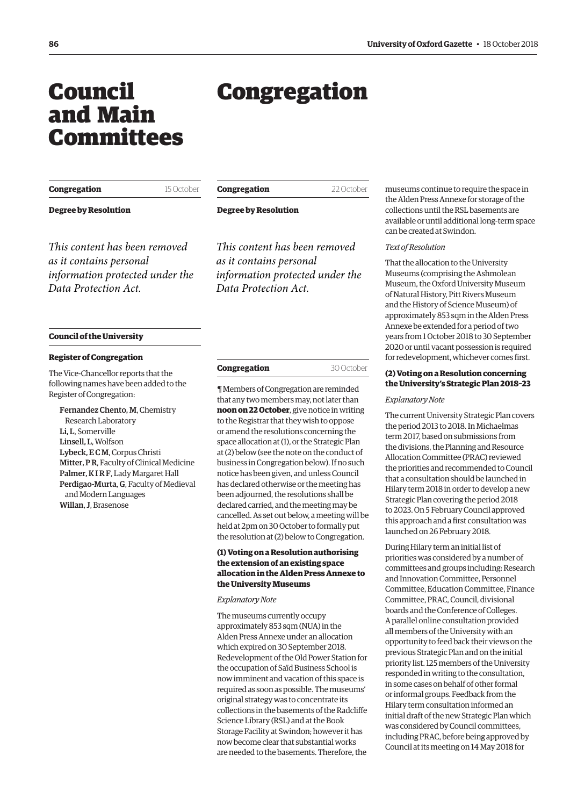## <span id="page-1-0"></span>Council and Main Committees

## Congregation

| Congregation                                                                                                        | 15 October | <b>Congregation</b>                                                                                                 | 22 October | museums contin                                                                                                    |
|---------------------------------------------------------------------------------------------------------------------|------------|---------------------------------------------------------------------------------------------------------------------|------------|-------------------------------------------------------------------------------------------------------------------|
| <b>Degree by Resolution</b>                                                                                         |            | <b>Degree by Resolution</b>                                                                                         |            | the Alden Press,<br>collections until<br>available or until<br>can be created at                                  |
| This content has been removed<br>as it contains personal<br>information protected under the<br>Data Protection Act. |            | This content has been removed<br>as it contains personal<br>information protected under the<br>Data Protection Act. |            | Text of Resolutio<br>That the allocati<br>Museums (comp<br>Museum, the Ox<br>of Natural Histor<br>and the History |

#### **Council of the University**

#### **Register of Congregation**

The Vice-Chancellor reports that the following names have been added to the Register of Congregation:

Fernandez Chento, M, Chemistry Research Laboratory Li, L, Somerville Linsell, L, Wolfson Lybeck, E C M, Corpus Christi Mitter, P R, Faculty of Clinical Medicine Palmer, K I R F, Lady Margaret Hall Perdigao-Murta, G, Faculty of Medieval and Modern Languages Willan, J, Brasenose

| Congregation | 30 October |
|--------------|------------|
|--------------|------------|

¶ Members of Congregation are reminded that any two members may, not later than **noon on 22 October**, give notice in writing to the Registrar that they wish to oppose or amend the resolutions concerning the space allocation at (1), or the Strategic Plan at (2) below (see the note on the conduct of business in Congregation below). If no such notice has been given, and unless Council has declared otherwise or the meeting has been adjourned, the resolutions shall be declared carried, and the meeting may be cancelled. As set out below, a meeting will be held at 2pm on 30 October to formally put the resolution at (2) below to Congregation.

#### **(1) Voting on a Resolution authorising the extension of an existing space allocation in the Alden Press Annexe to the University Museums**

*Explanatory Note*

The museums currently occupy approximately 853 sqm (NUA) in the Alden Press Annexe under an allocation which expired on 30 September 2018. Redevelopment of the Old Power Station for the occupation of Saïd Business School is now imminent and vacation of this space is required as soon as possible. The museums' original strategy was to concentrate its collections in the basements of the Radcliffe Science Library (RSL) and at the Book Storage Facility at Swindon; however it has now become clear that substantial works are needed to the basements. Therefore, the

nue to require the space in Annexe for storage of the the RSL basements are l additional long-term space Swindon

#### *Text of Resolution*

on to the University prising the Ashmolean tford University Museum, ry, Pitt Rivers Museum and the History of Science Museum) of approximately 853 sqm in the Alden Press Annexe be extended for a period of two years from 1 October 2018 to 30 September 2020 or until vacant possession is required for redevelopment, whichever comes first.

#### **(2) Voting on a Resolution concerning the University's Strategic Plan 2018–23**

#### *Explanatory Note*

The current University Strategic Plan covers the period 2013 to 2018. In Michaelmas term 2017, based on submissions from the divisions, the Planning and Resource Allocation Committee (PRAC) reviewed the priorities and recommended to Council that a consultation should be launched in Hilary term 2018 in order to develop a new Strategic Plan covering the period 2018 to 2023. On 5 February Council approved this approach and a first consultation was launched on 26 February 2018.

During Hilary term an initial list of priorities was considered by a number of committees and groups including: Research and Innovation Committee, Personnel Committee, Education Committee, Finance Committee, PRAC, Council, divisional boards and the Conference of Colleges. A parallel online consultation provided all members of the University with an opportunity to feed back their views on the previous Strategic Plan and on the initial priority list. 125 members of the University responded in writing to the consultation, in some cases on behalf of other formal or informal groups. Feedback from the Hilary term consultation informed an initial draft of the new Strategic Plan which was considered by Council committees, including PRAC, before being approved by Council at its meeting on 14 May 2018 for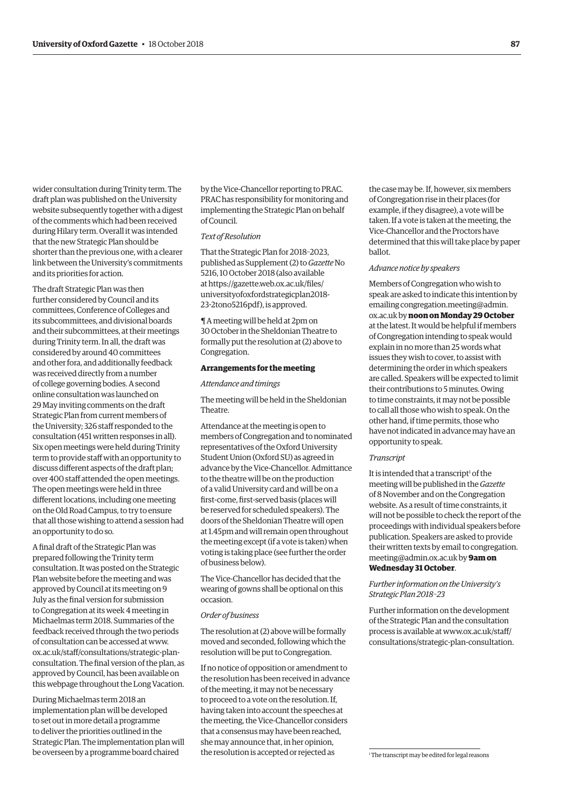wider consultation during Trinity term. The draft plan was published on the University website subsequently together with a digest of the comments which had been received during Hilary term. Overall it was intended that the new Strategic Plan should be shorter than the previous one, with a clearer link between the University's commitments and its priorities for action.

The draft Strategic Plan was then further considered by Council and its committees, Conference of Colleges and its subcommittees, and divisional boards and their subcommittees, at their meetings during Trinity term. In all, the draft was considered by around 40 committees and other fora, and additionally feedback was received directly from a number of college governing bodies. A second online consultation was launched on 29 May inviting comments on the draft Strategic Plan from current members of the University; 326 staff responded to the consultation (451 written responses in all). Six open meetings were held during Trinity term to provide staff with an opportunity to discuss different aspects of the draft plan; over 400 staff attended the open meetings. The open meetings were held in three different locations, including one meeting on the Old Road Campus, to try to ensure that all those wishing to attend a session had an opportunity to do so.

A final draft of the Strategic Plan was prepared following the Trinity term consultation. It was posted on the Strategic Plan website before the meeting and was approved by Council at its meeting on 9 July as the final version for submission to Congregation at its week 4 meeting in Michaelmas term 2018. Summaries of the feedback received through the two periods of consultation can be accessed at www. ox.ac.uk/staff/consultations/strategic-plan[consultation. The final version of the plan, as](www.ox.ac.uk/staff/consultations/strategic-plan-consultation)  approved by Council, has been available on this webpage throughout the Long Vacation.

During Michaelmas term 2018 an implementation plan will be developed to set out in more detail a programme to deliver the priorities outlined in the Strategic Plan. The implementation plan will be overseen by a programme board chaired

by the Vice-Chancellor reporting to PRAC. PRAC has responsibility for monitoring and implementing the Strategic Plan on behalf of Council.

#### *Text of Resolution*

That the Strategic Plan for 2018–2023, published as Supplement (2) to *Gazette* No 5216, 10 October 2018 (also available at https://gazette.web.ox.ac.uk/files/ [universityofoxfordstrategicplan2018-](https://gazette.web.ox.ac.uk/files/universityofoxfordstrategicplan2018-23-2tono5216pdf) 23-2tono5216pdf), is approved.

¶ A meeting will be held at 2pm on 30 October in the Sheldonian Theatre to formally put the resolution at (2) above to Congregation.

#### **Arrangements for the meeting**

*Attendance and timings* 

The meeting will be held in the Sheldonian Theatre.

Attendance at the meeting is open to members of Congregation and to nominated representatives of the Oxford University Student Union (Oxford SU) as agreed in advance by the Vice-Chancellor. Admittance to the theatre will be on the production of a valid University card and will be on a first-come, first-served basis (places will be reserved for scheduled speakers). The doors of the Sheldonian Theatre will open at 1.45pm and will remain open throughout the meeting except (if a vote is taken) when voting is taking place (see further the order of business below).

The Vice-Chancellor has decided that the wearing of gowns shall be optional on this occasion.

#### *Order of business*

The resolution at (2) above will be formally moved and seconded, following which the resolution will be put to Congregation.

If no notice of opposition or amendment to the resolution has been received in advance of the meeting, it may not be necessary to proceed to a vote on the resolution. If, having taken into account the speeches at the meeting, the Vice-Chancellor considers that a consensus may have been reached, she may announce that, in her opinion, the resolution is accepted or rejected as

the case may be. If, however, six members of Congregation rise in their places (for example, if they disagree), a vote will be taken. If a vote is taken at the meeting, the Vice-Chancellor and the Proctors have determined that this will take place by paper ballot.

#### *Advance notice by speakers*

Members of Congregation who wish to speak are asked to indicate this intention by emailing congregation.meeting@admin. ox.ac.uk by **noon on Monday 29 October** at the latest. It would be helpful if members of Congregation intending to speak would explain in no more than 25 words what issues they wish to cover, to assist with determining the order in which speakers are called. Speakers will be expected to limit their contributions to 5 minutes. Owing to time constraints, it may not be possible to call all those who wish to speak. On the other hand, if time permits, those who have not indicated in advance may have an opportunity to speak.

#### *Transcript*

It is intended that a transcript<sup>1</sup> of the meeting will be published in the *Gazette* of 8 November and on the Congregation website. As a result of time constraints, it will not be possible to check the report of the proceedings with individual speakers before publication. Speakers are asked to provide [their written texts by email to congregation.](mailto:congregation.meeting@admin.ox.ac.uk) meeting@admin.ox.ac.uk by **9am on** 

#### **Wednesday 31 October**.

#### *Further information on the University's Strategic Plan 2018–23*

Further information on the development of the Strategic Plan and the consultation process is available at www.ox.ac.uk/staff/ [consultations/strategic-plan-consultation.](www.ox.ac.uk/staff/consultations/strategic-plan-consultation) 

<sup>1</sup> The transcript may be edited for legal reasons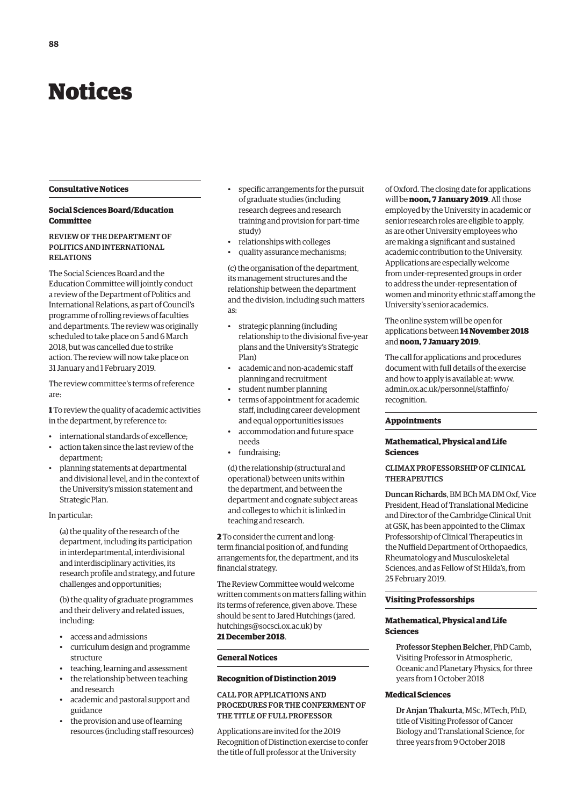## <span id="page-3-0"></span>Notices

#### **Consultative Notices**

#### **Social Sciences Board/Education Committee**

#### REVIEW OF THE DEPARTMENT OF POLITICS AND INTERNATIONAL RELATIONS

The Social Sciences Board and the Education Committee will jointly conduct a review of the Department of Politics and International Relations, as part of Council's programme of rolling reviews of faculties and departments. The review was originally scheduled to take place on 5 and 6 March 2018, but was cancelled due to strike action. The review will now take place on 31 January and 1 February 2019.

The review committee's terms of reference are:

**1** To review the quality of academic activities in the department, by reference to:

- international standards of excellence;
- action taken since the last review of the department;
- planning statements at departmental and divisional level, and in the context of the University's mission statement and Strategic Plan.

#### In particular:

(a) the quality of the research of the department, including its participation in interdepartmental, interdivisional and interdisciplinary activities, its research profile and strategy, and future challenges and opportunities;

(b) the quality of graduate programmes and their delivery and related issues, including:

- access and admissions
- curriculum design and programme structure
- teaching, learning and assessment
- the relationship between teaching and research
- academic and pastoral support and guidance
- the provision and use of learning resources (including staff resources)
- specific arrangements for the pursuit of graduate studies (including research degrees and research training and provision for part-time study)
- relationships with colleges
- quality assurance mechanisms;

(c) the organisation of the department, its management structures and the relationship between the department and the division, including such matters as:

- strategic planning (including relationship to the divisional five-year plans and the University's Strategic Plan)
- academic and non-academic staff planning and recruitment
- student number planning
- terms of appointment for academic staff, including career development and equal opportunities issues
- accommodation and future space needs
- fundraising:

(d) the relationship (structural and operational) between units within the department, and between the department and cognate subject areas and colleges to which it is linked in teaching and research.

**2** To consider the current and longterm financial position of, and funding arrangements for, the department, and its financial strategy.

The Review Committee would welcome written comments on matters falling within its terms of reference, given above. These [should be sent to Jared Hutchings \(jared.](mailto:jared.hutchings@socsci.ox.ac.uk) hutchings@socsci.ox.ac.uk) by **21 December 2018**.

## **General Notices**

### **Recognition of Distinction 2019**

#### CALL FOR APPLICATIONS AND PROCEDURES FOR THE CONFERMENT OF THE TITLE OF FULL PROFESSOR

Applications are invited for the 2019 Recognition of Distinction exercise to confer the title of full professor at the University

of Oxford. The closing date for applications will be **noon, 7 January 2019**. All those employed by the University in academic or senior research roles are eligible to apply, as are other University employees who are making a significant and sustained academic contribution to the University. Applications are especially welcome from under-represented groups in order to address the under-representation of women and minority ethnic staff among the University's senior academics.

#### The online system will be open for applications between **14 November 2018** and **noon, 7 January 2019**.

The call for applications and procedures document with full details of the exercise and how to apply is available at: www. [admin.ox.ac.uk/personnel/staffinfo/](www.admin.ox.ac.uk/personnel/staffinfo/recognition) recognition.

#### **Appointments**

#### **Mathematical, Physical and Life Sciences**

#### CLIMAX PROFESSORSHIP OF CLINICAL **THERAPEUTICS**

Duncan Richards, BM BCh MA DM Oxf, Vice President, Head of Translational Medicine and Director of the Cambridge Clinical Unit at GSK, has been appointed to the Climax Professorship of Clinical Therapeutics in the Nuffield Department of Orthopaedics, Rheumatology and Musculoskeletal Sciences, and as Fellow of St Hilda's, from 25 February 2019.

#### **Visiting Professorships**

#### **Mathematical, Physical and Life Sciences**

Professor Stephen Belcher, PhD Camb, Visiting Professor in Atmospheric, Oceanic and Planetary Physics, for three years from 1 October 2018

#### **Medical Sciences**

Dr Anjan Thakurta, MSc, MTech, PhD, title of Visiting Professor of Cancer Biology and Translational Science, for three years from 9 October 2018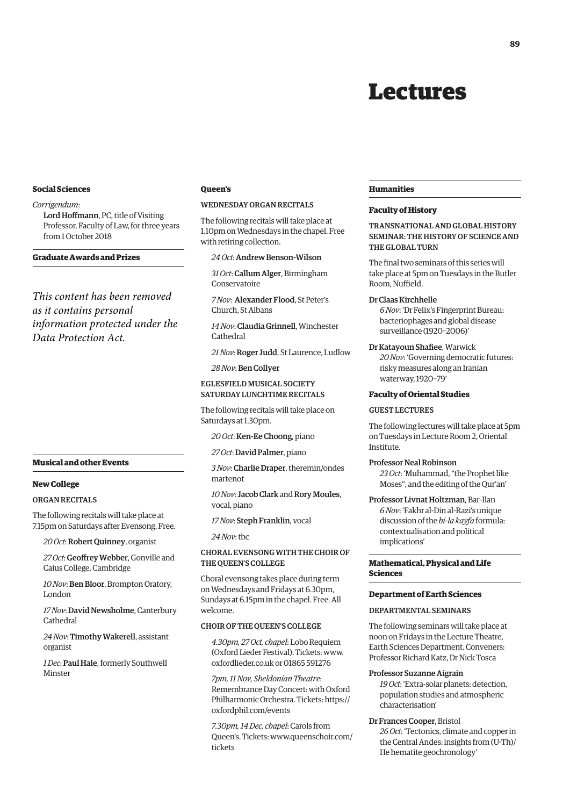## Lectures

#### <span id="page-4-0"></span>**Social Sciences**

#### *Corrigendum*:

Lord Hoffmann, PC, title of Visiting Professor, Faculty of Law, for three years from 1 October 2018

#### **Graduate Awards and Prizes**

*This content has been removed as it contains personal information protected under the Data Protection Act.*

#### **Musical and other Events**

#### **New College**

#### ORGAN RECITALS

The following recitals will take place at 7.15pm on Saturdays after Evensong. Free.

*20 Oct*: Robert Quinney, organist

*27 Oct*: Geoffrey Webber, Gonville and Caius College, Cambridge

*10 Nov*: Ben Bloor, Brompton Oratory, London

*17 Nov*: David Newsholme, Canterbury Cathedral

*24 Nov*: Timothy Wakerell, assistant organist

*1 Dec*: Paul Hale, formerly Southwell **Minster** 

#### **Queen's**

#### WEDNESDAY ORGAN RECITALS

The following recitals will take place at 1.10pm on Wednesdays in the chapel. Free with retiring collection.

#### *24 Oct*: Andrew Benson-Wilson

*31 Oct*: Callum Alger, Birmingham Conservatoire

*7 Nov*: Alexander Flood, St Peter's Church, St Albans

*14 Nov*: Claudia Grinnell, Winchester Cathedral

*21 Nov*: Roger Judd, St Laurence, Ludlow

*28 Nov*: Ben Collyer

#### EGLESFIELD MUSICAL SOCIETY SATURDAY LUNCHTIME RECITALS

The following recitals will take place on Saturdays at 1.30pm.

*20 Oct*: Ken-Ee Choong, piano

*27 Oct*: David Palmer, piano

*3 Nov*: Charlie Draper, theremin/ondes martenot

*10 Nov*: Jacob Clark and Rory Moules, vocal, piano

*17 Nov*: Steph Franklin, vocal

*24 Nov*: tbc

CHORAL EVENSONG WITH THE CHOIR OF THE QUEEN'S COLLEGE

Choral evensong takes place during term on Wednesdays and Fridays at 6.30pm, Sundays at 6.15pm in the chapel. Free. All welcome.

#### CHOIR OF THE QUEEN'S COLLEGE

*4.30pm, 27 Oct, chapel*: Lobo Requiem (Oxford Lieder Festival). Tickets: [www.](http://www.oxfordlieder.co.uk) [oxfordlieder.co.uk or](http://www.oxfordlieder.co.uk) 01865 591276

*7pm, 11 Nov, Sheldonian Theatre*: Remembrance Day Concert: with Oxford Philharmonic Orchestra. Tickets: [https://](https://oxfordphil.com/events) [oxfordphil.com/events](https://oxfordphil.com/events) 

*7.30pm, 14 Dec, chapel*: Carols from [Queen's. Tickets: www.queenschoir.com/](www.queenschoir.com/tickets) tickets

#### **Humanities**

#### **Faculty of History**

TRANSNATIONAL AND GLOBAL HISTORY SEMINAR: THE HISTORY OF SCIENCE AND THE GLOBAL TURN

The final two seminars of this series will take place at 5pm on Tuesdays in the Butler Room, Nuffield.

#### Dr Claas Kirchhelle

*6 Nov*: 'Dr Felix's Fingerprint Bureau: bacteriophages and global disease surveillance (1920–2006)'

Dr Katayoun Shafiee, Warwick

*20 Nov*: 'Governing democratic futures: risky measures along an Iranian waterway, 1920–79'

#### **Faculty of Oriental Studies**

#### GUEST LECTURES

The following lectures will take place at 5pm on Tuesdays in Lecture Room 2, Oriental Institute.

#### Professor Neal Robinson

*23 Oct*: 'Muhammad, "the Prophet like Moses", and the editing of the Qur'an'

Professor Livnat Holtzman, Bar-Ilan *6 Nov*: 'Fakhr al-Din al-Razi's unique discussion of the *bi-la kayfa* formula: contextualisation and political implications'

**Mathematical, Physical and Life Sciences**

#### **Department of Earth Sciences**

#### DEPARTMENTAL SEMINARS

The following seminars will take place at noon on Fridays in the Lecture Theatre, Earth Sciences Department. Conveners: Professor Richard Katz, Dr Nick Tosca

#### Professor Suzanne Aigrain

*19 Oct*: 'Extra-solar planets: detection, population studies and atmospheric characterisation'

#### Dr Frances Cooper, Bristol

*26 Oct*: 'Tectonics, climate and copper in the Central Andes: insights from (U-Th)/ He hematite geochronology'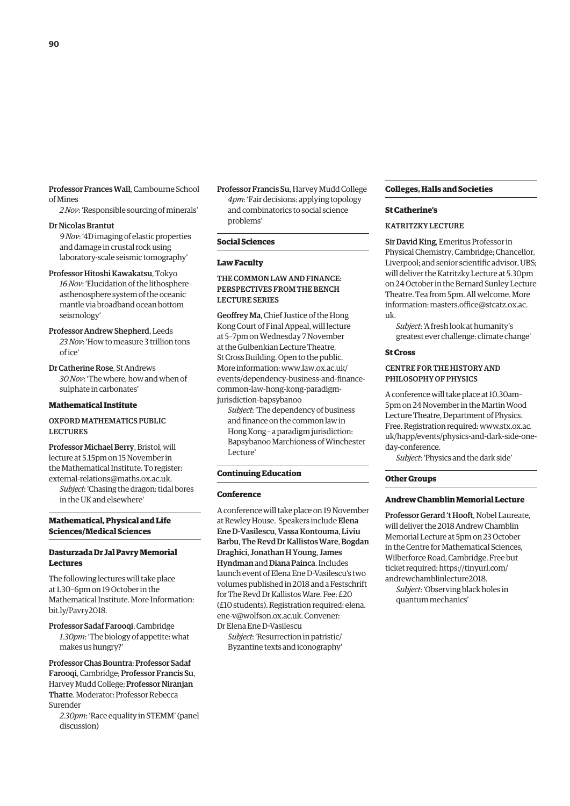Professor Frances Wall, Cambourne School of Mines

*2 Nov*: 'Responsible sourcing of minerals'

#### Dr Nicolas Brantut

*9 Nov*: '4D imaging of elastic properties and damage in crustal rock using laboratory-scale seismic tomography'

#### Professor Hitoshi Kawakatsu, Tokyo

*16 Nov*: 'Elucidation of the lithosphere– asthenosphere system of the oceanic mantle via broadband ocean bottom seismology'

Professor Andrew Shepherd, Leeds *23 Nov*: 'How to measure 3 trillion tons of ice'

Dr Catherine Rose, St Andrews *30 Nov*: 'The where, how and when of sulphate in carbonates'

#### **Mathematical Institute**

#### OXFORD MATHEMATICS PUBLIC LECTURES

Professor Michael Berry, Bristol, will lecture at 5.15pm on 15 November in the Mathematical Institute. To register: [external-relations@maths.ox.ac.uk.](mailto:external-relations@maths.ox.ac.uk) *Subject*: 'Chasing the dragon: tidal bores in the UK and elsewhere'

#### **Mathematical, Physical and Life Sciences/Medical Sciences**

#### **Dasturzada Dr Jal Pavry Memorial Lectures**

The following lectures will take place at 1.30–6pm on 19 October in the Mathematical Institute. More Information: bit.ly/Pavry2018.

Professor Sadaf Farooqi, Cambridge *1.30pm*: 'The biology of appetite: what makes us hungry?'

Professor Chas Bountra; Professor Sadaf Farooqi, Cambridge; Professor Francis Su, Harvey Mudd College; Professor Niranjan Thatte. Moderator: Professor Rebecca Surender

*2.30pm*: 'Race equality in STEMM' (panel discussion)

Professor Francis Su, Harvey Mudd College *4pm*: 'Fair decisions: applying topology and combinatorics to social science problems'

#### **Social Sciences**

#### **Law Faculty**

#### THE COMMON LAW AND FINANCE: PERSPECTIVES FROM THE BENCH LECTURE SERIES

Geoffrey Ma, Chief Justice of the Hong Kong Court of Final Appeal, will lecture at 5–7pm on Wednesday 7 November at the Gulbenkian Lecture Theatre, St Cross Building. Open to the public. More information: www.law.ox.ac.uk/ [events/dependency-business-and-finance](www.law.ox.ac.uk/events/dependency-business-and-finance-common-law-hong-kong-paradigm-jurisdiction-bapsybanoo)common-law-hong-kong-paradigmjurisdiction-bapsybanoo

*Subject*: 'The dependency of business and finance on the common law in Hong Kong – a paradigm jurisdiction: Bapsybanoo Marchioness of Winchester Lecture'

#### **Continuing Education**

#### **Conference**

A conference will take place on 19 November at Rewley House. Speakers include Elena Ene D-Vasilescu, Vassa Kontouma, Liviu Barbu, The Revd Dr Kallistos Ware, Bogdan Draghici, Jonathan H Young, James Hyndman and Diana Painca. Includes launch event of Elena Ene D-Vasilescu's two volumes published in 2018 and a Festschrift for The Revd Dr Kallistos Ware. Fee: £20 [\(£10 students\). Registration required: elena.](mailto:elena.ene-v@wolfson.ox.ac.uk) ene-v@wolfson.ox.ac.uk. Convener: Dr Elena Ene D-Vasilescu

*Subject*: 'Resurrection in patristic/ Byzantine texts and iconography'

#### **Colleges, Halls and Societies**

#### **St Catherine's**

#### KATRITZKY LECTURE

Sir David King, Emeritus Professor in Physical Chemistry, Cambridge; Chancellor, Liverpool; and senior scientific advisor, UBS; will deliver the Katritzky Lecture at 5.30pm on 24 October in the Bernard Sunley Lecture Theatre. Tea from 5pm. All welcome. More [information: masters.office@stcatz.ox.ac.](mailto:masters.office@stcatz.ox.ac.uk) uk.

*Subject*: 'A fresh look at humanity's greatest ever challenge: climate change'

#### **St Cross**

#### CENTRE FOR THE HISTORY AND PHILOSOPHY OF PHYSICS

A conference will take place at 10.30am– 5pm on 24 November in the Martin Wood Lecture Theatre, Department of Physics. Free. Registration required: www.stx.ox.ac. [uk/happ/events/physics-and-dark-side-one](www.stx.ox.ac.uk/happ/events/physics-and-dark-side-one-day-conference)day-conference.

*Subject*: 'Physics and the dark side'

#### **Other Groups**

#### **Andrew Chamblin Memorial Lecture**

Professor Gerard 't Hooft, Nobel Laureate, will deliver the 2018 Andrew Chamblin Memorial Lecture at 5pm on 23 October in the Centre for Mathematical Sciences, Wilberforce Road, Cambridge. Free but [ticket required: https://tinyurl.com/](https://tinyurl.com/andrewchamblinlecture2018) andrewchamblinlecture2018.

*Subject*: 'Observing black holes in quantum mechanics'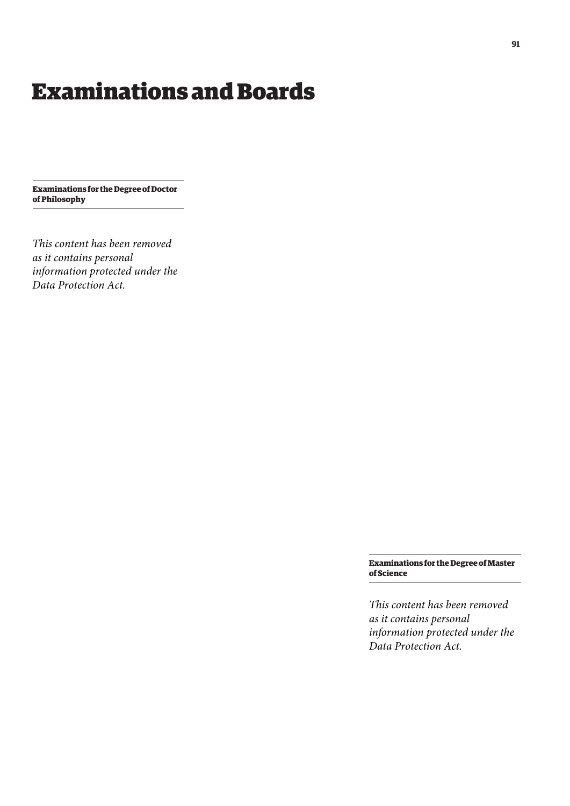## <span id="page-6-0"></span>Examinations and Boards

**Examinations for the Degree of Doctor of Philosophy**

*This content has been removed as it contains personal information protected under the Data Protection Act.*

> **Examinations for the Degree of Master of Science**

> *This content has been removed as it contains personal information protected under the Data Protection Act.*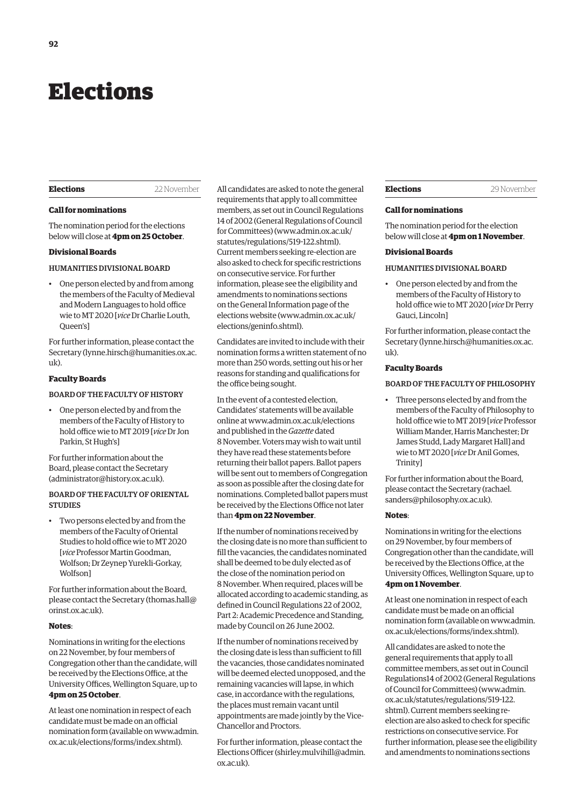## <span id="page-7-0"></span>Elections

#### **Elections** 22 November

#### **Call for nominations**

The nomination period for the elections below will close at **4pm on 25 October**.

#### **Divisional Boards**

#### HUMANITIES DIVISIONAL BOARD

• One person elected by and from among the members of the Faculty of Medieval and Modern Languages to hold office wie to MT 2020 [*vice* Dr Charlie Louth, Queen's]

For further information, please contact the Secretary [\(lynne.hirsch@humanities.ox.ac.](mailto:lynne.hirsch@humanities.ox.ac.uk) [uk\).](mailto:lynne.hirsch@humanities.ox.ac.uk)

#### **Faculty Boards**

#### BOARD OF THE FACULTY OF HISTORY

• One person elected by and from the members of the Faculty of History to hold office wie to MT 2019 [*vice* Dr Jon Parkin, St Hugh's]

For further information about the Board, please contact the Secretary ([administrator@history.ox.ac.uk\).](mailto:administrator@history.ox.ac.uk)

#### BOARD OF THE FACULTY OF ORIENTAL **STUDIES**

• Two persons elected by and from the members of the Faculty of Oriental Studies to hold office wie to MT 2020 [*vice* Professor Martin Goodman, Wolfson; Dr Zeynep Yurekli-Gorkay, Wolfson]

For further information about the Board, please contact the Secretary [\(thomas.hall@](mailto:thomas.hall@orinst.ox.ac.uk) [orinst.ox.ac.uk\).](mailto:thomas.hall@orinst.ox.ac.uk)

#### **Notes**:

Nominations in writing for the elections on 22 November, by four members of Congregation other than the candidate, will be received by the Elections Office, at the University Offices, Wellington Square, up to **4pm on 25 October**.

At least one nomination in respect of each candidate must be made on an official [nomination form \(available on www.admin.](www.admin.ox.ac.uk/elections/forms/index.shtml) ox.ac.uk/elections/forms/index.shtml).

All candidates are asked to note the general requirements that apply to all committee members, as set out in Council Regulations 14 of 2002 (General Regulations of Council for Committees) [\(www.admin.ox.ac.uk/](http://www.admin.ox.ac.uk/statutes/regulations/519-122.shtml) [statutes/regulations/519-122.shtml\).](http://www.admin.ox.ac.uk/statutes/regulations/519-122.shtml)  Current members seeking re-election are also asked to check for specific restrictions on consecutive service. For further information, please see the eligibility and amendments to nominations sections on the General Information page of the elections website ([www.admin.ox.ac.uk/](http://www.admin.ox.ac.uk/elections/geninfo.shtml) [elections/geninfo.shtml\).](http://www.admin.ox.ac.uk/elections/geninfo.shtml) 

Candidates are invited to include with their nomination forms a written statement of no more than 250 words, setting out his or her reasons for standing and qualifications for the office being sought.

In the event of a contested election, Candidates' statements will be available online at [www.admin.ox.ac.uk/elections](http://www.admin.ox.ac.uk/elections)  and published in the *Gazette* dated 8 November. Voters may wish to wait until they have read these statements before returning their ballot papers. Ballot papers will be sent out to members of Congregation as soon as possible after the closing date for nominations. Completed ballot papers must be received by the Elections Office not later than **4pm on 22 November**.

If the number of nominations received by the closing date is no more than sufficient to fill the vacancies, the candidates nominated shall be deemed to be duly elected as of the close of the nomination period on 8 November. When required, places will be allocated according to academic standing, as defined in Council Regulations 22 of 2002, Part 2: Academic Precedence and Standing, made by Council on 26 June 2002.

If the number of nominations received by the closing date is less than sufficient to fill the vacancies, those candidates nominated will be deemed elected unopposed, and the remaining vacancies will lapse, in which case, in accordance with the regulations, the places must remain vacant until appointments are made jointly by the Vice-Chancellor and Proctors.

For further information, please contact the Elections Officer ([shirley.mulvihill@admin.](mailto:shirley.mulvihill@admin.ox.ac.uk) [ox.ac.uk\).](mailto:shirley.mulvihill@admin.ox.ac.uk) 

#### **Elections** 29 November

#### **Call for nominations**

The nomination period for the election below will close at **4pm on 1 November**.

#### **Divisional Boards**

#### HUMANITIES DIVISIONAL BOARD

• One person elected by and from the members of the Faculty of History to hold office wie to MT 2020 [*vice* Dr Perry Gauci, Lincoln]

For further information, please contact the Secretary ([lynne.hirsch@humanities.ox.ac.](mailto:lynne.hirsch@humanities.ox.ac.uk) [uk\).](mailto:lynne.hirsch@humanities.ox.ac.uk)

#### **Faculty Boards**

#### BOARD OF THE FACULTY OF PHILOSOPHY

• Three persons elected by and from the members of the Faculty of Philosophy to hold office wie to MT 2019 [*vice* Professor William Mander, Harris Manchester; Dr James Studd, Lady Margaret Hall] and wie to MT 2020 [*vice* Dr Anil Gomes, Trinity]

For further information about the Board, [please contact the Secretary \(rachael.](mailto:rachael.sanders@philosophy.ox.ac.uk) sanders@philosophy.ox.ac.uk).

#### **Notes**:

Nominations in writing for the elections on 29 November, by four members of Congregation other than the candidate, will be received by the Elections Office, at the University Offices, Wellington Square, up to **4pm on 1 November**.

At least one nomination in respect of each candidate must be made on an official [nomination form \(available on www.admin.](www.admin.ox.ac.uk/elections/forms/index.shtml) ox.ac.uk/elections/forms/index.shtml).

All candidates are asked to note the general requirements that apply to all committee members, as set out in Council Regulations14 of 2002 (General Regulations of Council for Committees) ([www.admin.](http://www.admin.ox.ac.uk/statutes/regulations/519-122.shtml) [ox.ac.uk/statutes/regulations/519-122.](http://www.admin.ox.ac.uk/statutes/regulations/519-122.shtml) [shtml\). Cu](http://www.admin.ox.ac.uk/statutes/regulations/519-122.shtml)rrent members seeking reelection are also asked to check for specific restrictions on consecutive service. For further information, please see the eligibility and amendments to nominations sections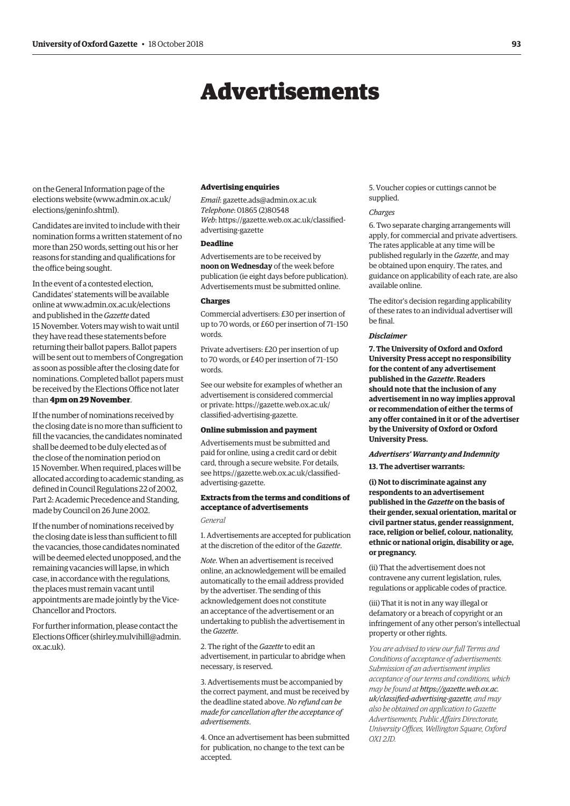## Advertisements

<span id="page-8-0"></span>on the General Information page of the elections website [\(www.admin.ox.ac.uk/](http://www.admin.ox.ac.uk/elections/geninfo.shtml) [elections/geninfo.shtml\).](http://www.admin.ox.ac.uk/elections/geninfo.shtml) 

Candidates are invited to include with their nomination forms a written statement of no more than 250 words, setting out his or her reasons for standing and qualifications for the office being sought.

In the event of a contested election, Candidates' statements will be available online at [www.admin.ox.ac.uk/elections](http://www.admin.ox.ac.uk/elections)  and published in the *Gazette* dated 15 November. Voters may wish to wait until they have read these statements before returning their ballot papers. Ballot papers will be sent out to members of Congregation as soon as possible after the closing date for nominations. Completed ballot papers must be received by the Elections Office not later than **4pm on 29 November**.

If the number of nominations received by the closing date is no more than sufficient to fill the vacancies, the candidates nominated shall be deemed to be duly elected as of the close of the nomination period on 15 November. When required, places will be allocated according to academic standing, as defined in Council Regulations 22 of 2002, Part 2: Academic Precedence and Standing, made by Council on 26 June 2002.

If the number of nominations received by the closing date is less than sufficient to fill the vacancies, those candidates nominated will be deemed elected unopposed, and the remaining vacancies will lapse, in which case, in accordance with the regulations, the places must remain vacant until appointments are made jointly by the Vice-Chancellor and Proctors.

For further information, please contact the Elections Officer [\(shirley.mulvihill@admin.](mailto:shirley.mulvihill@admin.ox.ac.uk) [ox.ac.uk\).](mailto:shirley.mulvihill@admin.ox.ac.uk)

#### **Advertising enquiries**

*Email*: [gazette.ads@admin.ox.ac.uk](mailto:gazette.ads@admin.ox.ac.uk) *Telephone*: 01865 (2)80548 *Web*[: https://gazette.web.ox.ac.uk/classified](https://gazette.web.ox.ac.uk/classified-advertising-gazette)advertising-gazette

#### **Deadline**

Advertisements are to be received by **noon on Wednesday** of the week before publication (ie eight days before publication). Advertisements must be submitted online.

#### **Charges**

Commercial advertisers: £30 per insertion of up to 70 words, or £60 per insertion of 71–150 words.

Private advertisers: £20 per insertion of up to 70 words, or £40 per insertion of 71–150 words.

See our website for examples of whether an advertisement is considered commercial [or private: https://gazette.web.ox.ac.uk/](https://gazette.web.ox.ac.uk/classified-advertising-gazette) classified-advertising-gazette.

#### **Online submission and payment**

Advertisements must be submitted and paid for online, using a credit card or debit card, through a secure website. For details, [see https://gazette.web.ox.ac.uk/classified](https://gazette.web.ox.ac.uk/classified-advertising-gazette)advertising-gazette.

#### **Extracts from the terms and conditions of acceptance of advertisements**

*General*

1. Advertisements are accepted for publication at the discretion of the editor of the *Gazette*.

*Note*. When an advertisement is received online, an acknowledgement will be emailed automatically to the email address provided by the advertiser. The sending of this acknowledgement does not constitute an acceptance of the advertisement or an undertaking to publish the advertisement in the *Gazette*.

2. The right of the *Gazette* to edit an advertisement, in particular to abridge when necessary, is reserved.

3. Advertisements must be accompanied by the correct payment, and must be received by the deadline stated above. *No refund can be made for cancellation after the acceptance of advertisements*.

4. Once an advertisement has been submitted for publication, no change to the text can be accepted.

5. Voucher copies or cuttings cannot be supplied.

#### *Charges*

6. Two separate charging arrangements will apply, for commercial and private advertisers. The rates applicable at any time will be published regularly in the *Gazette*, and may be obtained upon enquiry. The rates, and guidance on applicability of each rate, are also available online.

The editor's decision regarding applicability of these rates to an individual advertiser will be final.

#### *Disclaimer*

**7. The University of Oxford and Oxford University Press accept no responsibility for the content of any advertisement published in the** *Gazette***. Readers should note that the inclusion of any advertisement in no way implies approval or recommendation of either the terms of any offer contained in it or of the advertiser by the University of Oxford or Oxford University Press.**

### *Advertisers' Warranty and Indemnity*

**13. The advertiser warrants:**

**(i) Not to discriminate against any respondents to an advertisement published in the** *Gazette* **on the basis of their gender, sexual orientation, marital or civil partner status, gender reassignment, race, religion or belief, colour, nationality, ethnic or national origin, disability or age, or pregnancy.**

(ii) That the advertisement does not contravene any current legislation, rules, regulations or applicable codes of practice.

(iii) That it is not in any way illegal or defamatory or a breach of copyright or an infringement of any other person's intellectual property or other rights.

*You are advised to view our full Terms and Conditions of acceptance of advertisements. Submission of an advertisement implies acceptance of our terms and conditions, which may be found at https://gazette.web.ox.ac. [uk/classified-advertising-gazette](https://gazette.web.ox.ac.uk/classified-advertising-gazette), and may also be obtained on application to Gazette Advertisements, Public Affairs Directorate, University Offices, Wellington Square, Oxford OX1 2JD.*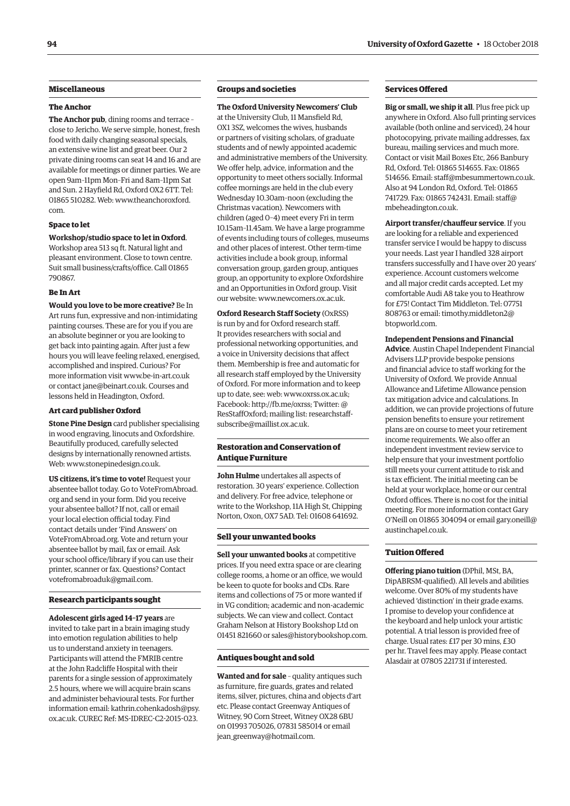#### **Miscellaneous**

#### **The Anchor**

**The Anchor pub**, dining rooms and terrace – close to Jericho. We serve simple, honest, fresh food with daily changing seasonal specials, an extensive wine list and great beer. Our 2 private dining rooms can seat 14 and 16 and are available for meetings or dinner parties. We are open 9am–11pm Mon–Fri and 8am–11pm Sat and Sun. 2 Hayfield Rd, Oxford OX2 6TT. Tel: [01865 510282. Web: www.theanchoroxford.](www.theanchoroxford.com) com.

#### **Space to let**

#### **Workshop/studio space to let in Oxford**.

Workshop area 513 sq ft. Natural light and pleasant environment. Close to town centre. Suit small business/crafts/office. Call 01865 790867.

#### **Be In Art**

**Would you love to be more creative?** Be In Art runs fun, expressive and non-intimidating painting courses. These are for you if you are an absolute beginner or you are looking to get back into painting again. After just a few hours you will leave feeling relaxed, energised, accomplished and inspired. Curious? For more information visit [www.be-in-art.co.uk](http://www.be-in-art.co.uk)  or contact [jane@beinart.co.uk. Co](mailto:jane@beinart.co.uk)urses and lessons held in Headington, Oxford.

#### **Art card publisher Oxford**

**Stone Pine Design** card publisher specialising in wood engraving, linocuts and Oxfordshire. Beautifully produced, carefully selected designs by internationally renowned artists. Web: [www.stonepinedesign.co.uk.](http://www.stonepinedesign.co.uk)

**US citizens, it's time to vote!** Request your absentee ballot today. Go to VoteFromAbroad. org and send in your form. Did you receive your absentee ballot? If not, call or email your local election official today. Find contact details under 'Find Answers' on VoteFromAbroad.org. Vote and return your absentee ballot by mail, fax or email. Ask your school office/library if you can use their printer, scanner or fax. Questions? Contact [votefromabroaduk@gmail.com.](mailto:votefromabroaduk@gmail.com)

#### **Research participants sought**

**Adolescent girls aged 14–17 years** are invited to take part in a brain imaging study into emotion regulation abilities to help us to understand anxiety in teenagers. Participants will attend the FMRIB centre at the John Radcliffe Hospital with their parents for a single session of approximately 2.5 hours, where we will acquire brain scans and administer behavioural tests. For further [information email: kathrin.cohenkadosh@psy.](mailto:kathrin.cohenkadosh@psy.ox.ac.uk) ox.ac.uk. CUREC Ref: MS-IDREC-C2-2015-023.

#### **Groups and societies**

**The Oxford University Newcomers' Club** at the University Club, 11 Mansfield Rd, OX1 3SZ, welcomes the wives, husbands or partners of visiting scholars, of graduate students and of newly appointed academic and administrative members of the University. We offer help, advice, information and the opportunity to meet others socially. Informal coffee mornings are held in the club every Wednesday 10.30am–noon (excluding the Christmas vacation). Newcomers with children (aged 0–4) meet every Fri in term 10.15am–11.45am. We have a large programme of events including tours of colleges, museums and other places of interest. Other term-time activities include a book group, informal conversation group, garden group, antiques group, an opportunity to explore Oxfordshire and an Opportunities in Oxford group. Visit our website: [www.newcomers.ox.ac.uk.](http://www.newcomers.ox.ac.uk) 

**Oxford Research Staff Society** (OxRSS) is run by and for Oxford research staff. It provides researchers with social and professional networking opportunities, and a voice in University decisions that affect them. Membership is free and automatic for all research staff employed by the University of Oxford. For more information and to keep up to date, see: web: [www.oxrss.ox.ac.uk;](http://www.oxrss.ox.ac.uk)  Facebook: [http://fb.me/oxrss; Tw](http://fb.me/oxrss)itter: @ [ResStaffOxford; mailing list: researchstaff](mailto:researchstaff-subscribe@maillist.ox.ac.uk)subscribe@maillist.ox.ac.uk.

#### **Restoration and Conservation of Antique Furniture**

**John Hulme** undertakes all aspects of restoration. 30 years' experience. Collection and delivery. For free advice, telephone or write to the Workshop, 11A High St, Chipping Norton, Oxon, OX7 5AD. Tel: 01608 641692.

#### **Sell your unwanted books**

**Sell your unwanted books** at competitive prices. If you need extra space or are clearing college rooms, a home or an office, we would be keen to quote for books and CDs. Rare items and collections of 75 or more wanted if in VG condition; academic and non-academic subjects. We can view and collect. Contact Graham Nelson at History Bookshop Ltd on 01451 821660 or [sales@historybookshop.com.](mailto:sales@historybookshop.com)

#### **Antiques bought and sold**

**Wanted and for sale** – quality antiques such as furniture, fire guards, grates and related items, silver, pictures, china and objects d'art etc. Please contact Greenway Antiques of Witney, 90 Corn Street, Witney OX28 6BU on 01993 705026, 07831 585014 or email [jean\\_greenway@hotmail.com.](mailto:jean_greenway@hotmail.com)

#### **Services Offered**

**Big or small, we ship it all**. Plus free pick up anywhere in Oxford. Also full printing services available (both online and serviced), 24 hour photocopying, private mailing addresses, fax bureau, mailing services and much more. Contact or visit Mail Boxes Etc, 266 Banbury Rd, Oxford. Tel: 01865 514655. Fax: 01865 514656. Email: [staff@mbesummertown.co.uk.](mailto:staff@mbesummertown.co.uk)  Also at 94 London Rd, Oxford. Tel: 01865 [741729. Fax: 01865 742431. Email: staff@](mailto:staff@mbeheadington.co.uk) mbeheadington.co.uk.

**Airport transfer/chauffeur service**. If you are looking for a reliable and experienced transfer service I would be happy to discuss your needs. Last year I handled 328 airport transfers successfully and I have over 20 years' experience. Account customers welcome and all major credit cards accepted. Let my comfortable Audi A8 take you to Heathrow for £75! Contact Tim Middleton. Tel: 07751 [808763 or email: timothy.middleton2@](mailto:timothy.middleton2@btopworld.com) btopworld.com.

#### **Independent Pensions and Financial**

**Advice**. Austin Chapel Independent Financial Advisers LLP provide bespoke pensions and financial advice to staff working for the University of Oxford. We provide Annual Allowance and Lifetime Allowance pension tax mitigation advice and calculations. In addition, we can provide projections of future pension benefits to ensure your retirement plans are on course to meet your retirement income requirements. We also offer an independent investment review service to help ensure that your investment portfolio still meets your current attitude to risk and is tax efficient. The initial meeting can be held at your workplace, home or our central Oxford offices. There is no cost for the initial meeting. For more information contact Gary [O'Neill on 01865 304094 or email gary.oneill@](mailto:gary.oneill@austinchapel.co.uk) austinchapel.co.uk.

#### **Tuition Offered**

**Offering piano tuition** (DPhil, MSt, BA, DipABRSM-qualified). All levels and abilities welcome. Over 80% of my students have achieved 'distinction' in their grade exams. I promise to develop your confidence at the keyboard and help unlock your artistic potential. A trial lesson is provided free of charge. Usual rates: £17 per 30 mins, £30 per hr. Travel fees may apply. Please contact Alasdair at 07805 221731 if interested.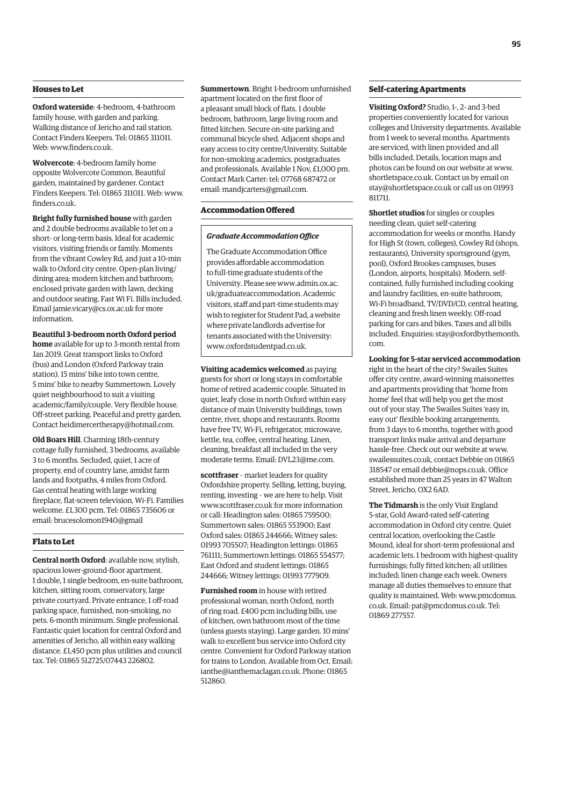#### **Houses to Let**

**Oxford waterside**: 4-bedroom, 4-bathroom family house, with garden and parking. Walking distance of Jericho and rail station. Contact Finders Keepers. Tel: 01865 311011. Web: [www.finders.co.uk.](http://www.finders.co.uk)

**Wolvercote**: 4-bedroom family home opposite Wolvercote Common. Beautiful garden, maintained by gardener. Contact Finders Keepers. Tel: 01865 311011. Web: [www.](http://www.finders.co.uk) [finders.co.uk.](http://www.finders.co.uk)

**Bright fully furnished house** with garden and 2 double bedrooms available to let on a short- or long-term basis. Ideal for academic visitors, visiting friends or family. Moments from the vibrant Cowley Rd, and just a 10-min walk to Oxford city centre. Open-plan living/ dining area; modern kitchen and bathroom; enclosed private garden with lawn, decking and outdoor seating. Fast Wi Fi. Bills included. Email [jamie.vicary@cs.ox.ac.uk fo](mailto:jamie.vicary@cs.ox.ac.uk)r more information.

**Beautiful 3-bedroom north Oxford period home** available for up to 3-month rental from Jan 2019. Great transport links to Oxford (bus) and London (Oxford Parkway train station). 15 mins' bike into town centre, 5 mins' bike to nearby Summertown. Lovely quiet neighbourhood to suit a visiting academic/family/couple. Very flexible house. Off-street parking. Peaceful and pretty garden. Contact [heidimercertherapy@hotmail.com.](mailto:heidimercertherapy@hotmail.com)

**Old Boars Hill**. Charming 18th-century cottage fully furnished, 3 bedrooms, available 3 to 6 months. Secluded, quiet, 1 acre of property, end of country lane, amidst farm lands and footpaths, 4 miles from Oxford. Gas central heating with large working fireplace, flat-screen television, Wi-Fi. Families welcome. £1,300 pcm. Tel: 01865 735606 or [email: brucesolomon1940@gmail](mailto:brucesolomon1940@gmail)

#### **Flats to Let**

**Central north Oxford**: available now, stylish, spacious lower-ground-floor apartment. 1 double, 1 single bedroom, en-suite bathroom, kitchen, sitting room, conservatory, large private courtyard. Private entrance, 1 off-road parking space, furnished, non-smoking, no pets. 6-month minimum. Single professional. Fantastic quiet location for central Oxford and amenities of Jericho, all within easy walking distance. £1,450 pcm plus utilities and council tax. Tel: 01865 512725/07443 226802.

**Summertown**. Bright 1-bedroom unfurnished apartment located on the first floor of a pleasant small block of flats. 1 double bedroom, bathroom, large living room and fitted kitchen. Secure on-site parking and communal bicycle shed. Adjacent shops and easy access to city centre/University. Suitable for non-smoking academics, postgraduates and professionals. Available 1 Nov, £1,000 pm. Contact Mark Carter: tel: 07768 687472 or email: [mandjcarters@gmail.com.](mailto:mandjcarters@gmail.com)

#### **Accommodation Offered**

#### *Graduate Accommodation Office*

The Graduate Accommodation Office provides affordable accommodation to full-time graduate students of the [University. Please see www.admin.ox.ac.](www.admin.ox.ac.uk/graduateaccommodation) uk/graduateaccommodation. Academic visitors, staff and part-time students may wish to register for Student Pad, a website where private landlords advertise for tenants associated with the University: [www.oxfordstudentpad.co.uk.](http://www.oxfordstudentpad.co.uk)

**Visiting academics welcomed** as paying guests for short or long stays in comfortable home of retired academic couple. Situated in quiet, leafy close in north Oxford within easy distance of main University buildings, town centre, river, shops and restaurants. Rooms have free TV, Wi-Fi, refrigerator, microwave, kettle, tea, coffee, central heating. Linen, cleaning, breakfast all included in the very moderate terms. Email: [DVL23@me.com.](mailto:DVL23@me.com)

**scottfraser** – market leaders for quality Oxfordshire property. Selling, letting, buying, renting, investing – we are here to help. Visit [www.scottfraser.co.uk fo](http://www.scottfraser.co.uk)r more information or call: Headington sales: 01865 759500; Summertown sales: 01865 553900; East Oxford sales: 01865 244666; Witney sales: 01993 705507; Headington lettings: 01865 761111; Summertown lettings: 01865 554577; East Oxford and student lettings: 01865 244666; Witney lettings: 01993 777909.

**Furnished room** in house with retired professional woman, north Oxford, north of ring road. £400 pcm including bills, use of kitchen, own bathroom most of the time (unless guests staying). Large garden. 10 mins' walk to excellent bus service into Oxford city centre. Convenient for Oxford Parkway station for trains to London. Available from Oct. Email: [ianthe@ianthemaclagan.co.uk. Ph](mailto:ianthe@ianthemaclagan.co.uk)one: 01865 512860.

#### **Self-catering Apartments**

**Visiting Oxford?** Studio, 1-, 2- and 3-bed properties conveniently located for various colleges and University departments. Available from 1 week to several months. Apartments are serviced, with linen provided and all bills included. Details, location maps and photos can be found on our website at [www.](http://www.shortletspace.co.uk) [shortletspace.co.uk. Co](http://www.shortletspace.co.uk)ntact us by email on [stay@shortletspace.co.uk or](mailto:stay@shortletspace.co.uk) call us on 01993 811711.

**Shortlet studios** for singles or couples needing clean, quiet self-catering accommodation for weeks or months. Handy for High St (town, colleges), Cowley Rd (shops, restaurants), University sportsground (gym, pool), Oxford Brookes campuses, buses (London, airports, hospitals). Modern, selfcontained, fully furnished including cooking and laundry facilities, en-suite bathroom, Wi-Fi broadband, TV/DVD/CD, central heating, cleaning and fresh linen weekly. Off-road parking for cars and bikes. Taxes and all bills [included. Enquiries: stay@oxfordbythemonth.](mailto:stay@oxfordbythemonth.com) com.

**Looking for 5-star serviced accommodation** right in the heart of the city? Swailes Suites offer city centre, award-winning maisonettes and apartments providing that 'home from home' feel that will help you get the most out of your stay. The Swailes Suites 'easy in, easy out' flexible booking arrangements, from 3 days to 6 months, together with good transport links make arrival and departure hassle-free. Check out our website at [www.](http://www.swailessuites.co.uk) [swailessuites.co.uk, co](http://www.swailessuites.co.uk)ntact Debbie on 01865 318547 or email [debbie@nops.co.uk. Of](mailto:debbie@nops.co.uk)fice established more than 25 years in 47 Walton Street, Jericho, OX2 6AD.

**The Tidmarsh** is the only Visit England 5-star, Gold Award-rated self-catering accommodation in Oxford city centre. Quiet central location, overlooking the Castle Mound, ideal for short-term professional and academic lets. 1 bedroom with highest-quality furnishings; fully fitted kitchen; all utilities included; linen change each week. Owners manage all duties themselves to ensure that quality is maintained. Web: [www.pmcdomus.](http://www.pmcdomus) co.uk. Email: [pat@pmcdomus.co.uk. Te](mailto:pat@pmcdomus.co.uk)l: 01869 277557.